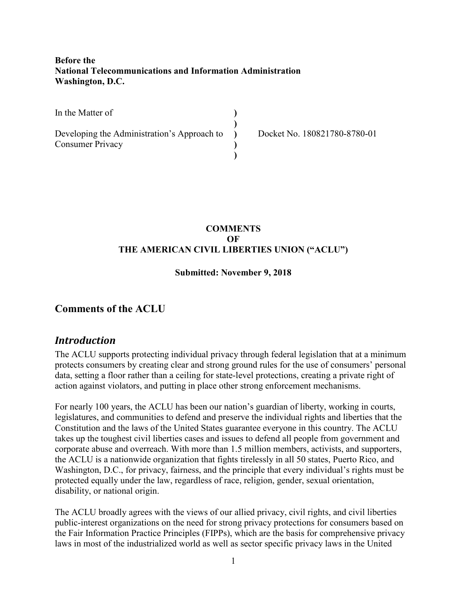### **Before the National Telecommunications and Information Administration Washington, D.C.**

In the Matter of

Developing the Administration's Approach to Consumer Privacy

Docket No. 180821780-8780-01

#### **COMMENTS OF THE AMERICAN CIVIL LIBERTIES UNION ("ACLU")**

**) ) ) ) )**

#### **Submitted: November 9, 2018**

### **Comments of the ACLU**

### *Introduction*

The ACLU supports protecting individual privacy through federal legislation that at a minimum protects consumers by creating clear and strong ground rules for the use of consumers' personal data, setting a floor rather than a ceiling for state-level protections, creating a private right of action against violators, and putting in place other strong enforcement mechanisms.

For nearly 100 years, the ACLU has been our nation's guardian of liberty, working in courts, legislatures, and communities to defend and preserve the individual rights and liberties that the Constitution and the laws of the United States guarantee everyone in this country. The ACLU takes up the toughest civil liberties cases and issues to defend all people from government and corporate abuse and overreach. With more than 1.5 million members, activists, and supporters, the ACLU is a nationwide organization that fights tirelessly in all 50 states, Puerto Rico, and Washington, D.C., for privacy, fairness, and the principle that every individual's rights must be protected equally under the law, regardless of race, religion, gender, sexual orientation, disability, or national origin.

The ACLU broadly agrees with the views of our allied privacy, civil rights, and civil liberties public-interest organizations on the need for strong privacy protections for consumers based on the Fair Information Practice Principles (FIPPs), which are the basis for comprehensive privacy laws in most of the industrialized world as well as sector specific privacy laws in the United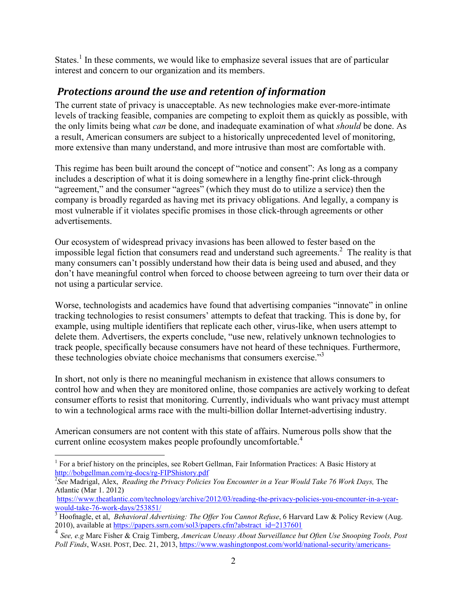States.<sup>1</sup> In these comments, we would like to emphasize several issues that are of particular interest and concern to our organization and its members.

# *Protections around the use and retention of information*

The current state of privacy is unacceptable. As new technologies make ever-more-intimate levels of tracking feasible, companies are competing to exploit them as quickly as possible, with the only limits being what *can* be done, and inadequate examination of what *should* be done. As a result, American consumers are subject to a historically unprecedented level of monitoring, more extensive than many understand, and more intrusive than most are comfortable with.

This regime has been built around the concept of "notice and consent": As long as a company includes a description of what it is doing somewhere in a lengthy fine-print click-through "agreement," and the consumer "agrees" (which they must do to utilize a service) then the company is broadly regarded as having met its privacy obligations. And legally, a company is most vulnerable if it violates specific promises in those click-through agreements or other advertisements.

Our ecosystem of widespread privacy invasions has been allowed to fester based on the impossible legal fiction that consumers read and understand such agreements.<sup>2</sup> The reality is that many consumers can't possibly understand how their data is being used and abused, and they don't have meaningful control when forced to choose between agreeing to turn over their data or not using a particular service.

Worse, technologists and academics have found that advertising companies "innovate" in online tracking technologies to resist consumers' attempts to defeat that tracking. This is done by, for example, using multiple identifiers that replicate each other, virus-like, when users attempt to delete them. Advertisers, the experts conclude, "use new, relatively unknown technologies to track people, specifically because consumers have not heard of these techniques. Furthermore, these technologies obviate choice mechanisms that consumers exercise."<sup>3</sup>

In short, not only is there no meaningful mechanism in existence that allows consumers to control how and when they are monitored online, those companies are actively working to defeat consumer efforts to resist that monitoring. Currently, individuals who want privacy must attempt to win a technological arms race with the multi-billion dollar Internet-advertising industry.

American consumers are not content with this state of affairs. Numerous polls show that the current online ecosystem makes people profoundly uncomfortable.<sup>4</sup>

<sup>&</sup>lt;u>.</u> <sup>1</sup> For a brief history on the principles, see Robert Gellman, Fair Information Practices: A Basic History at http://bobgellman.com/rg-docs/rg-FIPShistory.pdf

<sup>&</sup>lt;sup>2</sup>See Madrigal, Alex, *Reading the Privacy Policies You Encounter in a Year Would Take 76 Work Days*, The Atlantic (Mar 1. 2012)

https://www.theatlantic.com/technology/archive/2012/03/reading-the-privacy-policies-you-encounter-in-a-yearwould-take-76-work-days/253851/

<sup>&</sup>lt;sup>3</sup> Hoofnagle, et al, *Behavioral Advertising: The Offer You Cannot Refuse*, 6 Harvard Law & Policy Review (Aug. 2010), available at https://papers.ssrn.com/sol3/papers.cfm?abstract\_id=2137601

<sup>4</sup> *See, e.g* Marc Fisher & Craig Timberg, *American Uneasy About Surveillance but Often Use Snooping Tools, Post Poll Finds*, WASH. POST, Dec. 21, 2013, https://www.washingtonpost.com/world/national-security/americans-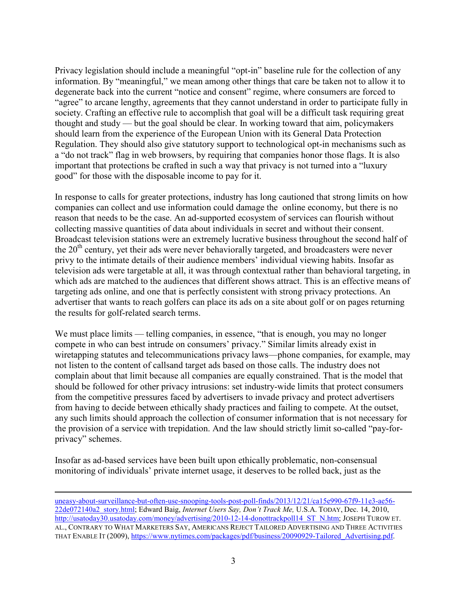Privacy legislation should include a meaningful "opt-in" baseline rule for the collection of any information. By "meaningful," we mean among other things that care be taken not to allow it to degenerate back into the current "notice and consent" regime, where consumers are forced to "agree" to arcane lengthy, agreements that they cannot understand in order to participate fully in society. Crafting an effective rule to accomplish that goal will be a difficult task requiring great thought and study — but the goal should be clear. In working toward that aim, policymakers should learn from the experience of the European Union with its General Data Protection Regulation. They should also give statutory support to technological opt-in mechanisms such as a "do not track" flag in web browsers, by requiring that companies honor those flags. It is also important that protections be crafted in such a way that privacy is not turned into a "luxury good" for those with the disposable income to pay for it.

In response to calls for greater protections, industry has long cautioned that strong limits on how companies can collect and use information could damage the online economy, but there is no reason that needs to be the case. An ad-supported ecosystem of services can flourish without collecting massive quantities of data about individuals in secret and without their consent. Broadcast television stations were an extremely lucrative business throughout the second half of the  $20<sup>th</sup>$  century, yet their ads were never behaviorally targeted, and broadcasters were never privy to the intimate details of their audience members' individual viewing habits. Insofar as television ads were targetable at all, it was through contextual rather than behavioral targeting, in which ads are matched to the audiences that different shows attract. This is an effective means of targeting ads online, and one that is perfectly consistent with strong privacy protections. An advertiser that wants to reach golfers can place its ads on a site about golf or on pages returning the results for golf-related search terms.

We must place limits — telling companies, in essence, "that is enough, you may no longer compete in who can best intrude on consumers' privacy." Similar limits already exist in wiretapping statutes and telecommunications privacy laws—phone companies, for example, may not listen to the content of callsand target ads based on those calls. The industry does not complain about that limit because all companies are equally constrained. That is the model that should be followed for other privacy intrusions: set industry-wide limits that protect consumers from the competitive pressures faced by advertisers to invade privacy and protect advertisers from having to decide between ethically shady practices and failing to compete. At the outset, any such limits should approach the collection of consumer information that is not necessary for the provision of a service with trepidation. And the law should strictly limit so-called "pay-forprivacy" schemes.

Insofar as ad-based services have been built upon ethically problematic, non-consensual monitoring of individuals' private internet usage, it deserves to be rolled back, just as the

 $\overline{a}$ 

uneasy-about-surveillance-but-often-use-snooping-tools-post-poll-finds/2013/12/21/ca15e990-67f9-11e3-ae56- 22de072140a2\_story.html; Edward Baig, *Internet Users Say, Don't Track Me,* U.S.A. TODAY, Dec. 14, 2010, http://usatoday30.usatoday.com/money/advertising/2010-12-14-donottrackpoll14\_ST\_N.htm; JOSEPH TUROW ET. AL., CONTRARY TO WHAT MARKETERS SAY, AMERICANS REJECT TAILORED ADVERTISING AND THREE ACTIVITIES THAT ENABLE IT (2009), https://www.nytimes.com/packages/pdf/business/20090929-Tailored Advertising.pdf.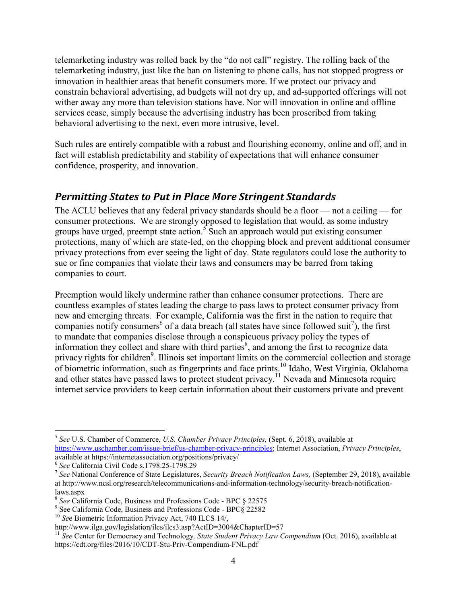telemarketing industry was rolled back by the "do not call" registry. The rolling back of the telemarketing industry, just like the ban on listening to phone calls, has not stopped progress or innovation in healthier areas that benefit consumers more. If we protect our privacy and constrain behavioral advertising, ad budgets will not dry up, and ad-supported offerings will not wither away any more than television stations have. Nor will innovation in online and offline services cease, simply because the advertising industry has been proscribed from taking behavioral advertising to the next, even more intrusive, level.

Such rules are entirely compatible with a robust and flourishing economy, online and off, and in fact will establish predictability and stability of expectations that will enhance consumer confidence, prosperity, and innovation.

## *Permitting States to Put in Place More Stringent Standards*

The ACLU believes that any federal privacy standards should be a floor — not a ceiling — for consumer protections. We are strongly opposed to legislation that would, as some industry groups have urged, preempt state action.<sup>5</sup> Such an approach would put existing consumer protections, many of which are state-led, on the chopping block and prevent additional consumer privacy protections from ever seeing the light of day. State regulators could lose the authority to sue or fine companies that violate their laws and consumers may be barred from taking companies to court.

Preemption would likely undermine rather than enhance consumer protections. There are countless examples of states leading the charge to pass laws to protect consumer privacy from new and emerging threats. For example, California was the first in the nation to require that companies notify consumers<sup>6</sup> of a data breach (all states have since followed suit<sup>7</sup>), the first to mandate that companies disclose through a conspicuous privacy policy the types of information they collect and share with third parties $\frac{8}{3}$ , and among the first to recognize data privacy rights for children<sup>9</sup>. Illinois set important limits on the commercial collection and storage of biometric information, such as fingerprints and face prints.<sup>10</sup> Idaho, West Virginia, Oklahoma and other states have passed laws to protect student privacy.<sup>11</sup> Nevada and Minnesota require internet service providers to keep certain information about their customers private and prevent

 5 *See* U.S. Chamber of Commerce, *U.S. Chamber Privacy Principles,* (Sept. 6, 2018), available at https://www.uschamber.com/issue-brief/us-chamber-privacy-principles; Internet Association, *Privacy Principles*, available at https://internetassociation.org/positions/privacy/

<sup>6</sup> *See* California Civil Code s.1798.25-1798.29

<sup>7</sup> *See* National Conference of State Legislatures, *Security Breach Notification Laws,* (September 29, 2018), available at http://www.ncsl.org/research/telecommunications-and-information-technology/security-breach-notificationlaws.aspx

<sup>8</sup> *See* California Code, Business and Professions Code - BPC § 22575

<sup>9</sup> See California Code, Business and Professions Code - BPC§ 22582

<sup>&</sup>lt;sup>10</sup> See Biometric Information Privacy Act, 740 ILCS 14/,

http://www.ilga.gov/legislation/ilcs/ilcs3.asp?ActID=3004&ChapterID=57

<sup>&</sup>lt;sup>11</sup> See Center for Democracy and Technology, State Student Privacy Law Compendium (Oct. 2016), available at https://cdt.org/files/2016/10/CDT-Stu-Priv-Compendium-FNL.pdf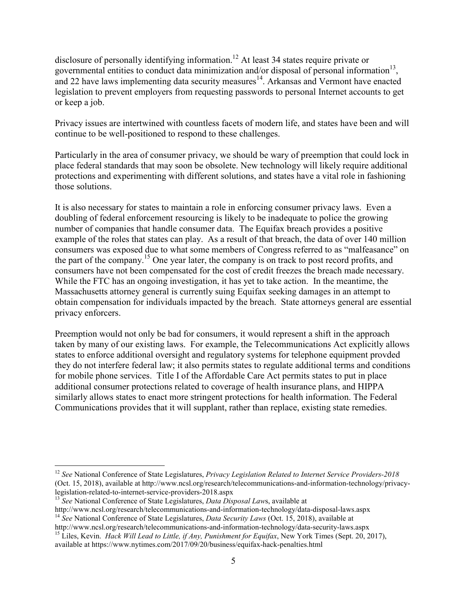disclosure of personally identifying information.<sup>12</sup> At least 34 states require private or governmental entities to conduct data minimization and/or disposal of personal information<sup>13</sup>, and 22 have laws implementing data security measures<sup>14</sup>. Arkansas and Vermont have enacted legislation to prevent employers from requesting passwords to personal Internet accounts to get or keep a job.

Privacy issues are intertwined with countless facets of modern life, and states have been and will continue to be well-positioned to respond to these challenges.

Particularly in the area of consumer privacy, we should be wary of preemption that could lock in place federal standards that may soon be obsolete. New technology will likely require additional protections and experimenting with different solutions, and states have a vital role in fashioning those solutions.

It is also necessary for states to maintain a role in enforcing consumer privacy laws. Even a doubling of federal enforcement resourcing is likely to be inadequate to police the growing number of companies that handle consumer data. The Equifax breach provides a positive example of the roles that states can play. As a result of that breach, the data of over 140 million consumers was exposed due to what some members of Congress referred to as "malfeasance" on the part of the company.<sup>15</sup> One year later, the company is on track to post record profits, and consumers have not been compensated for the cost of credit freezes the breach made necessary. While the FTC has an ongoing investigation, it has yet to take action. In the meantime, the Massachusetts attorney general is currently suing Equifax seeking damages in an attempt to obtain compensation for individuals impacted by the breach. State attorneys general are essential privacy enforcers.

Preemption would not only be bad for consumers, it would represent a shift in the approach taken by many of our existing laws. For example, the Telecommunications Act explicitly allows states to enforce additional oversight and regulatory systems for telephone equipment provded they do not interfere federal law; it also permits states to regulate additional terms and conditions for mobile phone services. Title I of the Affordable Care Act permits states to put in place additional consumer protections related to coverage of health insurance plans, and HIPPA similarly allows states to enact more stringent protections for health information. The Federal Communications provides that it will supplant, rather than replace, existing state remedies.

 $\overline{a}$ 

<sup>12</sup> *See* National Conference of State Legislatures, *Privacy Legislation Related to Internet Service Providers-2018* (Oct. 15, 2018), available at http://www.ncsl.org/research/telecommunications-and-information-technology/privacylegislation-related-to-internet-service-providers-2018.aspx

<sup>13</sup> *See* National Conference of State Legislatures, *Data Disposal Law*s, available at

http://www.ncsl.org/research/telecommunications-and-information-technology/data-disposal-laws.aspx

<sup>14</sup> *See* National Conference of State Legislatures, *Data Security Laws* (Oct. 15, 2018), available at http://www.ncsl.org/research/telecommunications-and-information-technology/data-security-laws.aspx <sup>15</sup> Liles. Kevin. *Hack Will Lead to Little, if Any, Punishment for Equifax*, New York Times (Sept. 20, 2017),

available at https://www.nytimes.com/2017/09/20/business/equifax-hack-penalties.html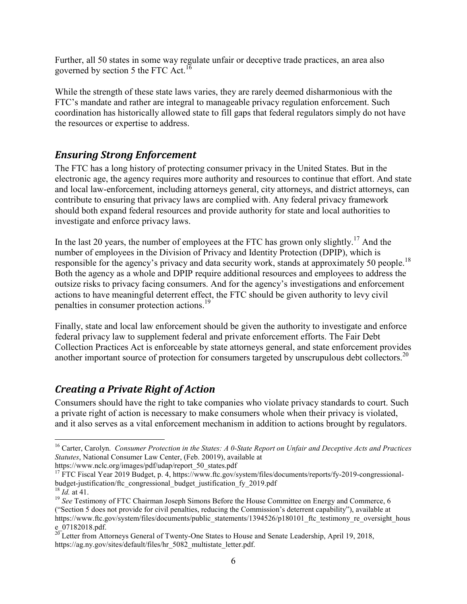Further, all 50 states in some way regulate unfair or deceptive trade practices, an area also governed by section 5 the FTC Act.<sup>16</sup>

While the strength of these state laws varies, they are rarely deemed disharmonious with the FTC's mandate and rather are integral to manageable privacy regulation enforcement. Such coordination has historically allowed state to fill gaps that federal regulators simply do not have the resources or expertise to address.

## *Ensuring Strong Enforcement*

The FTC has a long history of protecting consumer privacy in the United States. But in the electronic age, the agency requires more authority and resources to continue that effort. And state and local law-enforcement, including attorneys general, city attorneys, and district attorneys, can contribute to ensuring that privacy laws are complied with. Any federal privacy framework should both expand federal resources and provide authority for state and local authorities to investigate and enforce privacy laws.

In the last 20 years, the number of employees at the FTC has grown only slightly.<sup>17</sup> And the number of employees in the Division of Privacy and Identity Protection (DPIP), which is responsible for the agency's privacy and data security work, stands at approximately 50 people.<sup>18</sup> Both the agency as a whole and DPIP require additional resources and employees to address the outsize risks to privacy facing consumers. And for the agency's investigations and enforcement actions to have meaningful deterrent effect, the FTC should be given authority to levy civil penalties in consumer protection actions.<sup>19</sup>

Finally, state and local law enforcement should be given the authority to investigate and enforce federal privacy law to supplement federal and private enforcement efforts. The Fair Debt Collection Practices Act is enforceable by state attorneys general, and state enforcement provides another important source of protection for consumers targeted by unscrupulous debt collectors.<sup>20</sup>

## *Creating a Private Right of Action*

Consumers should have the right to take companies who violate privacy standards to court. Such a private right of action is necessary to make consumers whole when their privacy is violated, and it also serves as a vital enforcement mechanism in addition to actions brought by regulators.

https://www.nclc.org/images/pdf/udap/report\_50\_states.pdf

<sup>-</sup><sup>16</sup> Carter, Carolyn. *Consumer Protection in the States: A 0-State Report on Unfair and Deceptive Acts and Practices Statutes*, National Consumer Law Center, (Feb. 20019), available at

<sup>&</sup>lt;sup>17</sup> FTC Fiscal Year 2019 Budget, p. 4, https://www.ftc.gov/system/files/documents/reports/fy-2019-congressionalbudget-justification/ftc\_congressional\_budget\_justification\_fy\_2019.pdf

<sup>18</sup> *Id.* at 41.

<sup>&</sup>lt;sup>19</sup> See Testimony of FTC Chairman Joseph Simons Before the House Committee on Energy and Commerce, 6 ("Section 5 does not provide for civil penalties, reducing the Commission's deterrent capability"), available at https://www.ftc.gov/system/files/documents/public\_statements/1394526/p180101\_ftc\_testimony\_re\_oversight\_hous e\_07182018.pdf.

 $20$ Letter from Attorneys General of Twenty-One States to House and Senate Leadership, April 19, 2018, https://ag.ny.gov/sites/default/files/hr\_5082\_multistate\_letter.pdf.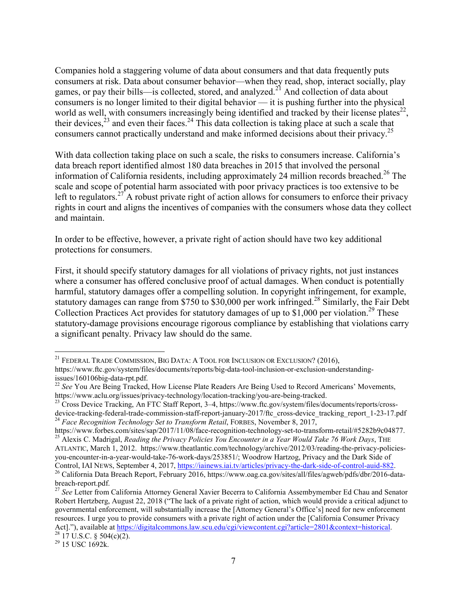Companies hold a staggering volume of data about consumers and that data frequently puts consumers at risk. Data about consumer behavior—when they read, shop, interact socially, play games, or pay their bills—is collected, stored, and analyzed.<sup>21</sup> And collection of data about consumers is no longer limited to their digital behavior — it is pushing further into the physical world as well, with consumers increasingly being identified and tracked by their license plates $^{22}$ , their devices, $^{23}$  and even their faces.<sup>24</sup> This data collection is taking place at such a scale that consumers cannot practically understand and make informed decisions about their privacy.<sup>25</sup>

With data collection taking place on such a scale, the risks to consumers increase. California's data breach report identified almost 180 data breaches in 2015 that involved the personal information of California residents, including approximately 24 million records breached.<sup>26</sup> The scale and scope of potential harm associated with poor privacy practices is too extensive to be left to regulators.<sup>27</sup> A robust private right of action allows for consumers to enforce their privacy rights in court and aligns the incentives of companies with the consumers whose data they collect and maintain.

In order to be effective, however, a private right of action should have two key additional protections for consumers.

First, it should specify statutory damages for all violations of privacy rights, not just instances where a consumer has offered conclusive proof of actual damages. When conduct is potentially harmful, statutory damages offer a compelling solution. In copyright infringement, for example, statutory damages can range from \$750 to \$30,000 per work infringed.<sup>28</sup> Similarly, the Fair Debt Collection Practices Act provides for statutory damages of up to \$1,000 per violation.<sup>29</sup> These statutory-damage provisions encourage rigorous compliance by establishing that violations carry a significant penalty. Privacy law should do the same.

<sup>&</sup>lt;u>.</u> <sup>21</sup> FEDERAL TRADE COMMISSION, BIG DATA: A TOOL FOR INCLUSION OR EXCLUSION? (2016),

https://www.ftc.gov/system/files/documents/reports/big-data-tool-inclusion-or-exclusion-understandingissues/160106big-data-rpt.pdf.

<sup>&</sup>lt;sup>22</sup> See You Are Being Tracked, How License Plate Readers Are Being Used to Record Americans' Movements, https://www.aclu.org/issues/privacy-technology/location-tracking/you-are-being-tracked.

<sup>&</sup>lt;sup>23</sup> Cross Device Tracking, An FTC Staff Report, 3–4, https://www.ftc.gov/system/files/documents/reports/crossdevice-tracking-federal-trade-commission-staff-report-january-2017/ftc\_cross-device\_tracking\_report\_1-23-17.pdf <sup>24</sup> Face Recognition Technology Set to Transform Retail, FORBES, November 8, 2017,

https://www.forbes.com/sites/sap/2017/11/08/face-recognition-technology-set-to-transform-retail/#5282b9c04877. <sup>25</sup> Alexis C. Madrigal, *Reading the Privacy Policies You Encounter in a Year Would Take 76 Work Days*, THE

ATLANTIC, March 1, 2012. https://www.theatlantic.com/technology/archive/2012/03/reading-the-privacy-policiesyou-encounter-in-a-year-would-take-76-work-days/253851/; Woodrow Hartzog, Privacy and the Dark Side of Control, IAI NEWS, September 4, 2017, https://iainews.iai.tv/articles/privacy-the-dark-side-of-control-auid-882. <sup>26</sup> California Data Breach Report, February 2016, https://www.oag.ca.gov/sites/all/files/agweb/pdfs/dbr/2016-databreach-report.pdf.

<sup>&</sup>lt;sup>27</sup> See Letter from California Attorney General Xavier Becerra to California Assembymember Ed Chau and Senator Robert Hertzberg, August 22, 2018 ("The lack of a private right of action, which would provide a critical adjunct to governmental enforcement, will substantially increase the [Attorney General's Office's] need for new enforcement resources. I urge you to provide consumers with a private right of action under the [California Consumer Privacy Act]."), available at https://digitalcommons.law.scu.edu/cgi/viewcontent.cgi?article=2801&context=historical.

 $^{28}$  17 U.S.C. § 504(c)(2).

<sup>29</sup> 15 USC 1692k.